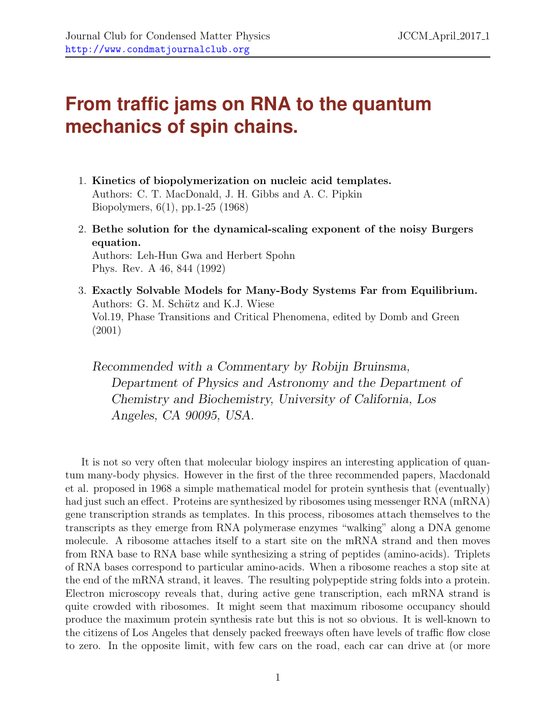## **From traffic jams on RNA to the quantum mechanics of spin chains.**

- 1. Kinetics of biopolymerization on nucleic acid templates. Authors: C. T. MacDonald, J. H. Gibbs and A. C. Pipkin Biopolymers, 6(1), pp.1-25 (1968)
- 2. Bethe solution for the dynamical-scaling exponent of the noisy Burgers equation. Authors: Leh-Hun Gwa and Herbert Spohn Phys. Rev. A 46, 844 (1992)
- 3. Exactly Solvable Models for Many-Body Systems Far from Equilibrium. Authors: G. M. Schütz and K.J. Wiese Vol.19, Phase Transitions and Critical Phenomena, edited by Domb and Green (2001)

Recommended with a Commentary by Robijn Bruinsma, Department of Physics and Astronomy and the Department of Chemistry and Biochemistry, University of California, Los Angeles, CA 90095, USA.

It is not so very often that molecular biology inspires an interesting application of quantum many-body physics. However in the first of the three recommended papers, Macdonald et al. proposed in 1968 a simple mathematical model for protein synthesis that (eventually) had just such an effect. Proteins are synthesized by ribosomes using messenger RNA (mRNA) gene transcription strands as templates. In this process, ribosomes attach themselves to the transcripts as they emerge from RNA polymerase enzymes "walking" along a DNA genome molecule. A ribosome attaches itself to a start site on the mRNA strand and then moves from RNA base to RNA base while synthesizing a string of peptides (amino-acids). Triplets of RNA bases correspond to particular amino-acids. When a ribosome reaches a stop site at the end of the mRNA strand, it leaves. The resulting polypeptide string folds into a protein. Electron microscopy reveals that, during active gene transcription, each mRNA strand is quite crowded with ribosomes. It might seem that maximum ribosome occupancy should produce the maximum protein synthesis rate but this is not so obvious. It is well-known to the citizens of Los Angeles that densely packed freeways often have levels of traffic flow close to zero. In the opposite limit, with few cars on the road, each car can drive at (or more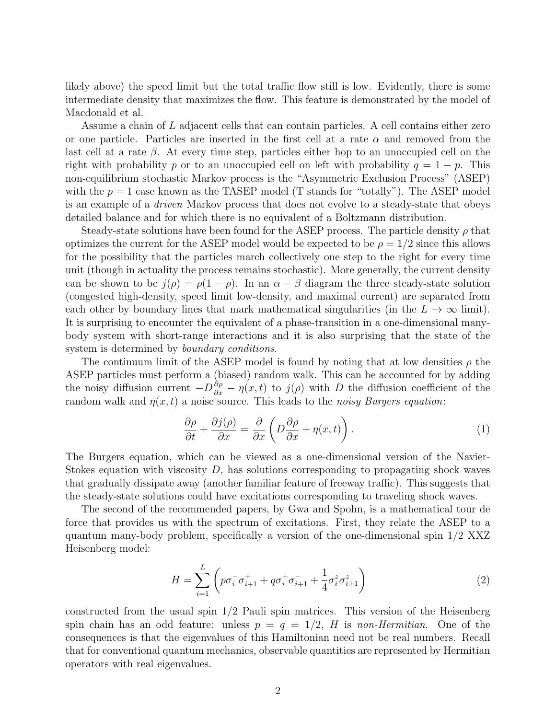likely above) the speed limit but the total traffic flow still is low. Evidently, there is some intermediate density that maximizes the flow. This feature is demonstrated by the model of Macdonald et al.

Assume a chain of L adjacent cells that can contain particles. A cell contains either zero or one particle. Particles are inserted in the first cell at a rate  $\alpha$  and removed from the last cell at a rate  $\beta$ . At every time step, particles either hop to an unoccupied cell on the right with probability p or to an unoccupied cell on left with probability  $q = 1 - p$ . This non-equilibrium stochastic Markov process is the "Asymmetric Exclusion Process" (ASEP) with the  $p = 1$  case known as the TASEP model (T stands for "totally"). The ASEP model is an example of a driven Markov process that does not evolve to a steady-state that obeys detailed balance and for which there is no equivalent of a Boltzmann distribution.

Steady-state solutions have been found for the ASEP process. The particle density  $\rho$  that optimizes the current for the ASEP model would be expected to be  $\rho = 1/2$  since this allows for the possibility that the particles march collectively one step to the right for every time unit (though in actuality the process remains stochastic). More generally, the current density can be shown to be  $j(\rho) = \rho(1-\rho)$ . In an  $\alpha - \beta$  diagram the three steady-state solution (congested high-density, speed limit low-density, and maximal current) are separated from each other by boundary lines that mark mathematical singularities (in the  $L \to \infty$  limit). It is surprising to encounter the equivalent of a phase-transition in a one-dimensional manybody system with short-range interactions and it is also surprising that the state of the system is determined by *boundary conditions*.

The continuum limit of the ASEP model is found by noting that at low densities  $\rho$  the ASEP particles must perform a (biased) random walk. This can be accounted for by adding the noisy diffusion current  $-D\frac{\partial \rho}{\partial x} - \eta(x,t)$  to  $j(\rho)$  with D the diffusion coefficient of the random walk and  $\eta(x, t)$  a noise source. This leads to the noisy Burgers equation:

$$
\frac{\partial \rho}{\partial t} + \frac{\partial j(\rho)}{\partial x} = \frac{\partial}{\partial x} \left( D \frac{\partial \rho}{\partial x} + \eta(x, t) \right). \tag{1}
$$

The Burgers equation, which can be viewed as a one-dimensional version of the Navier-Stokes equation with viscosity  $D$ , has solutions corresponding to propagating shock waves that gradually dissipate away (another familiar feature of freeway traffic). This suggests that the steady-state solutions could have excitations corresponding to traveling shock waves.

The second of the recommended papers, by Gwa and Spohn, is a mathematical tour de force that provides us with the spectrum of excitations. First, they relate the ASEP to a quantum many-body problem, specifically a version of the one-dimensional spin 1/2 XXZ Heisenberg model:

$$
H = \sum_{i=1}^{L} \left( p \sigma_i^- \sigma_{i+1}^+ + q \sigma_i^+ \sigma_{i+1}^- + \frac{1}{4} \sigma_i^z \sigma_{i+1}^z \right)
$$
 (2)

constructed from the usual spin  $1/2$  Pauli spin matrices. This version of the Heisenberg spin chain has an odd feature: unless  $p = q = 1/2$ , H is non-Hermitian. One of the consequences is that the eigenvalues of this Hamiltonian need not be real numbers. Recall that for conventional quantum mechanics, observable quantities are represented by Hermitian operators with real eigenvalues.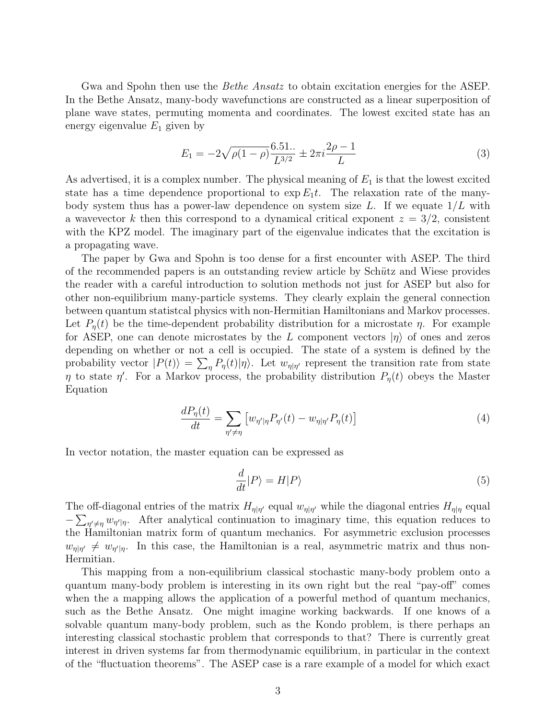Gwa and Spohn then use the *Bethe Ansatz* to obtain excitation energies for the ASEP. In the Bethe Ansatz, many-body wavefunctions are constructed as a linear superposition of plane wave states, permuting momenta and coordinates. The lowest excited state has an energy eigenvalue  $E_1$  given by

$$
E_1 = -2\sqrt{\rho(1-\rho)} \frac{6.51..}{L^{3/2}} \pm 2\pi i \frac{2\rho - 1}{L}
$$
 (3)

As advertised, it is a complex number. The physical meaning of  $E_1$  is that the lowest excited state has a time dependence proportional to  $\exp E_1 t$ . The relaxation rate of the manybody system thus has a power-law dependence on system size L. If we equate  $1/L$  with a wavevector k then this correspond to a dynamical critical exponent  $z = 3/2$ , consistent with the KPZ model. The imaginary part of the eigenvalue indicates that the excitation is a propagating wave.

The paper by Gwa and Spohn is too dense for a first encounter with ASEP. The third of the recommended papers is an outstanding review article by Schütz and Wiese provides the reader with a careful introduction to solution methods not just for ASEP but also for other non-equilibrium many-particle systems. They clearly explain the general connection between quantum statistcal physics with non-Hermitian Hamiltonians and Markov processes. Let  $P_n(t)$  be the time-dependent probability distribution for a microstate  $\eta$ . For example for ASEP, one can denote microstates by the L component vectors  $|\eta\rangle$  of ones and zeros depending on whether or not a cell is occupied. The state of a system is defined by the probability vector  $|P(t)\rangle = \sum_{\eta} P_{\eta}(t) |\eta\rangle$ . Let  $w_{\eta|\eta'}$  represent the transition rate from state  $\eta$  to state  $\eta'$ . For a Markov process, the probability distribution  $P_{\eta}(t)$  obeys the Master Equation

$$
\frac{dP_{\eta}(t)}{dt} = \sum_{\eta' \neq \eta} \left[ w_{\eta'|\eta} P_{\eta'}(t) - w_{\eta|\eta'} P_{\eta}(t) \right] \tag{4}
$$

In vector notation, the master equation can be expressed as

$$
\frac{d}{dt}|P\rangle = H|P\rangle\tag{5}
$$

The off-diagonal entries of the matrix  $H_{\eta|\eta'}$  equal  $w_{\eta|\eta'}$  while the diagonal entries  $H_{\eta|\eta}$  equal  $-\sum_{\eta'\neq\eta} w_{\eta'|\eta}$ . After analytical continuation to imaginary time, this equation reduces to the Hamiltonian matrix form of quantum mechanics. For asymmetric exclusion processes  $w_{\eta|\eta'} \neq w_{\eta'|\eta}$ . In this case, the Hamiltonian is a real, asymmetric matrix and thus non-Hermitian.

This mapping from a non-equilibrium classical stochastic many-body problem onto a quantum many-body problem is interesting in its own right but the real "pay-off" comes when the a mapping allows the application of a powerful method of quantum mechanics, such as the Bethe Ansatz. One might imagine working backwards. If one knows of a solvable quantum many-body problem, such as the Kondo problem, is there perhaps an interesting classical stochastic problem that corresponds to that? There is currently great interest in driven systems far from thermodynamic equilibrium, in particular in the context of the "fluctuation theorems". The ASEP case is a rare example of a model for which exact